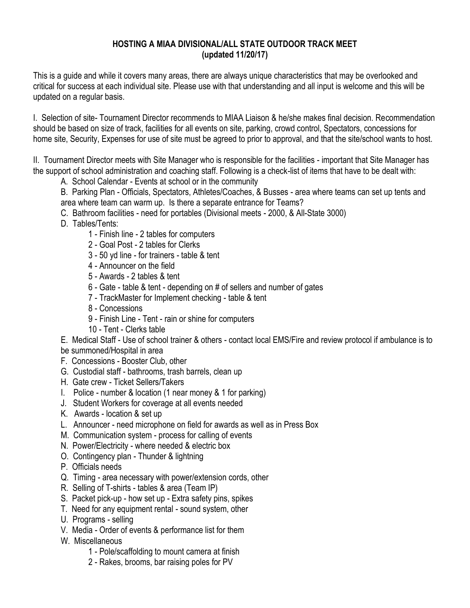## **HOSTING A MIAA DIVISIONAL/ALL STATE OUTDOOR TRACK MEET (updated 11/20/17)**

This is a guide and while it covers many areas, there are always unique characteristics that may be overlooked and critical for success at each individual site. Please use with that understanding and all input is welcome and this will be updated on a regular basis.

I. Selection of site- Tournament Director recommends to MIAA Liaison & he/she makes final decision. Recommendation should be based on size of track, facilities for all events on site, parking, crowd control, Spectators, concessions for home site, Security, Expenses for use of site must be agreed to prior to approval, and that the site/school wants to host.

II. Tournament Director meets with Site Manager who is responsible for the facilities - important that Site Manager has the support of school administration and coaching staff. Following is a check-list of items that have to be dealt with:

- A. School Calendar Events at school or in the community
- B. Parking Plan Officials, Spectators, Athletes/Coaches, & Busses area where teams can set up tents and area where team can warm up. Is there a separate entrance for Teams?
- C. Bathroom facilities need for portables (Divisional meets 2000, & All-State 3000)
- D. Tables/Tents:
	- 1 Finish line 2 tables for computers
	- 2 Goal Post 2 tables for Clerks
	- 3 50 yd line for trainers table & tent
	- 4 Announcer on the field
	- 5 Awards 2 tables & tent
	- 6 Gate table & tent depending on # of sellers and number of gates
	- 7 TrackMaster for Implement checking table & tent
	- 8 Concessions
	- 9 Finish Line Tent rain or shine for computers
	- 10 Tent Clerks table
- E. Medical Staff Use of school trainer & others contact local EMS/Fire and review protocol if ambulance is to be summoned/Hospital in area
- F. Concessions Booster Club, other
- G. Custodial staff bathrooms, trash barrels, clean up
- H. Gate crew Ticket Sellers/Takers
- 
- I. Police number & location (1 near money & 1 for parking)
- J. Student Workers for coverage at all events needed
- K. Awards location & set up
- L. Announcer need microphone on field for awards as well as in Press Box
- M. Communication system process for calling of events
- N. Power/Electricity where needed & electric box
- O. Contingency plan Thunder & lightning
- P. Officials needs
- Q. Timing area necessary with power/extension cords, other
- R. Selling of T-shirts tables & area (Team IP)
- S. Packet pick-up how set up Extra safety pins, spikes
- T. Need for any equipment rental sound system, other
- U. Programs selling
- V. Media Order of events & performance list for them
- W. Miscellaneous
	- 1 Pole/scaffolding to mount camera at finish
	- 2 Rakes, brooms, bar raising poles for PV